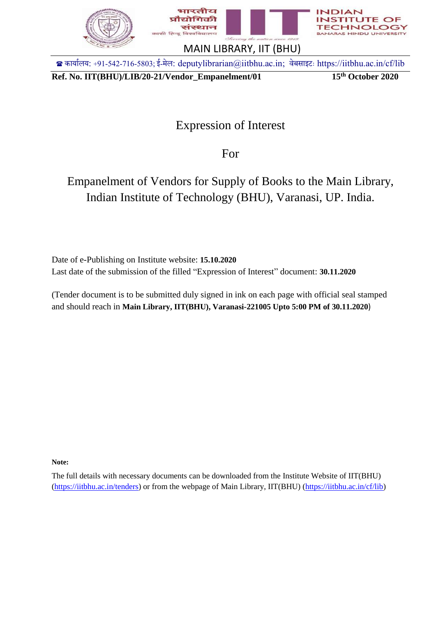

**Ref. No. IIT(BHU)/LIB/20-21/Vendor\_Empanelment/01 15th October 2020**

OF

# Expression of Interest

For

# Empanelment of Vendors for Supply of Books to the Main Library, Indian Institute of Technology (BHU), Varanasi, UP. India.

Date of e-Publishing on Institute website: **15.10.2020** Last date of the submission of the filled "Expression of Interest" document: **30.11.2020**

(Tender document is to be submitted duly signed in ink on each page with official seal stamped and should reach in **Main Library, IIT(BHU), Varanasi-221005 Upto 5:00 PM of 30.11.2020**)

**Note:**

The full details with necessary documents can be downloaded from the Institute Website of IIT(BHU) [\(https://iitbhu.ac.in/tenders\)](https://iitbhu.ac.in/tenders) or from the webpage of Main Library, IIT(BHU) [\(https://iitbhu.ac.in/cf/lib\)](https://iitbhu.ac.in/cf/lib)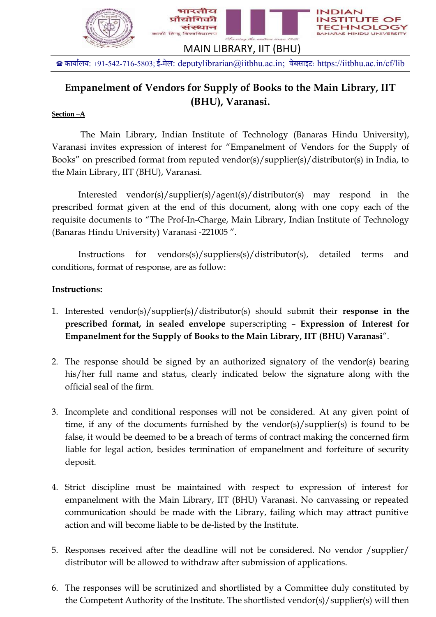

# **Empanelment of Vendors for Supply of Books to the Main Library, IIT (BHU), Varanasi.**

### **Section –A**

The Main Library, Indian Institute of Technology (Banaras Hindu University), Varanasi invites expression of interest for "Empanelment of Vendors for the Supply of Books" on prescribed format from reputed vendor(s)/supplier(s)/distributor(s) in India, to the Main Library, IIT (BHU), Varanasi.

Interested vendor(s)/supplier(s)/agent(s)/distributor(s) may respond in the prescribed format given at the end of this document, along with one copy each of the requisite documents to "The Prof-In-Charge, Main Library, Indian Institute of Technology (Banaras Hindu University) Varanasi -221005 ".

Instructions for vendors(s)/suppliers(s)/distributor(s), detailed terms and conditions, format of response, are as follow:

### **Instructions:**

- 1. Interested vendor(s)/supplier(s)/distributor(s) should submit their **response in the prescribed format, in sealed envelope** superscripting – **Expression of Interest for Empanelment for the Supply of Books to the Main Library, IIT (BHU) Varanasi**".
- 2. The response should be signed by an authorized signatory of the vendor(s) bearing his/her full name and status, clearly indicated below the signature along with the official seal of the firm.
- 3. Incomplete and conditional responses will not be considered. At any given point of time, if any of the documents furnished by the vendor(s)/supplier(s) is found to be false, it would be deemed to be a breach of terms of contract making the concerned firm liable for legal action, besides termination of empanelment and forfeiture of security deposit.
- 4. Strict discipline must be maintained with respect to expression of interest for empanelment with the Main Library, IIT (BHU) Varanasi. No canvassing or repeated communication should be made with the Library, failing which may attract punitive action and will become liable to be de-listed by the Institute.
- 5. Responses received after the deadline will not be considered. No vendor /supplier/ distributor will be allowed to withdraw after submission of applications.
- 6. The responses will be scrutinized and shortlisted by a Committee duly constituted by the Competent Authority of the Institute. The shortlisted vendor(s)/supplier(s) will then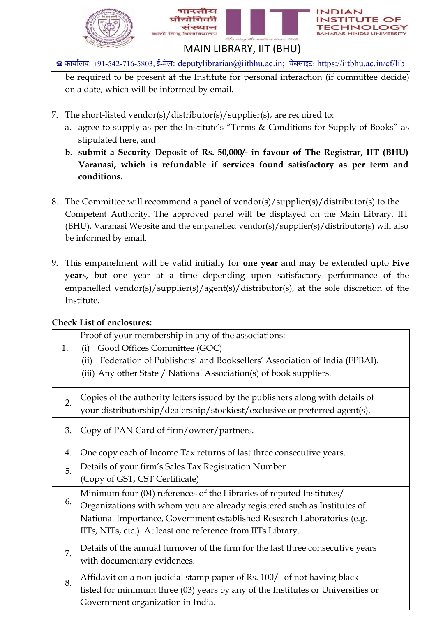

be required to be present at the Institute for personal interaction (if committee decide) on a date, which will be informed by email.

- 7. The short-listed vendor(s)/distributor(s)/supplier(s), are required to:
	- a. agree to supply as per the Institute's "Terms & Conditions for Supply of Books" as stipulated here, and
	- **b. submit a Security Deposit of Rs. 50,000/- in favour of The Registrar, IIT (BHU) Varanasi, which is refundable if services found satisfactory as per term and conditions.**
- 8. The Committee will recommend a panel of vendor(s)/supplier(s)/distributor(s) to the Competent Authority. The approved panel will be displayed on the Main Library, IIT (BHU), Varanasi Website and the empanelled vendor(s)/supplier(s)/distributor(s) will also be informed by email.
- 9. This empanelment will be valid initially for **one year** and may be extended upto **Five years,** but one year at a time depending upon satisfactory performance of the empanelled vendor(s)/supplier(s)/agent(s)/distributor(s), at the sole discretion of the Institute.

| 1. | Proof of your membership in any of the associations:<br>Good Offices Committee (GOC)<br>(i) |  |  |
|----|---------------------------------------------------------------------------------------------|--|--|
|    | Federation of Publishers' and Booksellers' Association of India (FPBAI).<br>(ii)            |  |  |
|    | (iii) Any other State / National Association(s) of book suppliers.                          |  |  |
|    |                                                                                             |  |  |
|    | Copies of the authority letters issued by the publishers along with details of              |  |  |
| 2. | your distributorship/dealership/stockiest/exclusive or preferred agent(s).                  |  |  |
|    |                                                                                             |  |  |
| 3. | Copy of PAN Card of firm/owner/partners.                                                    |  |  |
|    |                                                                                             |  |  |
| 4. | One copy each of Income Tax returns of last three consecutive years.                        |  |  |
| 5. | Details of your firm's Sales Tax Registration Number                                        |  |  |
|    | (Copy of GST, CST Certificate)                                                              |  |  |
|    | Minimum four (04) references of the Libraries of reputed Institutes/                        |  |  |
| 6. | Organizations with whom you are already registered such as Institutes of                    |  |  |
|    | National Importance, Government established Research Laboratories (e.g.                     |  |  |
|    | IITs, NITs, etc.). At least one reference from IITs Library.                                |  |  |
|    | Details of the annual turnover of the firm for the last three consecutive years             |  |  |
| 7. | with documentary evidences.                                                                 |  |  |
|    |                                                                                             |  |  |
| 8. | Affidavit on a non-judicial stamp paper of Rs. 100/- of not having black-                   |  |  |
|    | listed for minimum three (03) years by any of the Institutes or Universities or             |  |  |
|    | Government organization in India.                                                           |  |  |

### **Check List of enclosures:**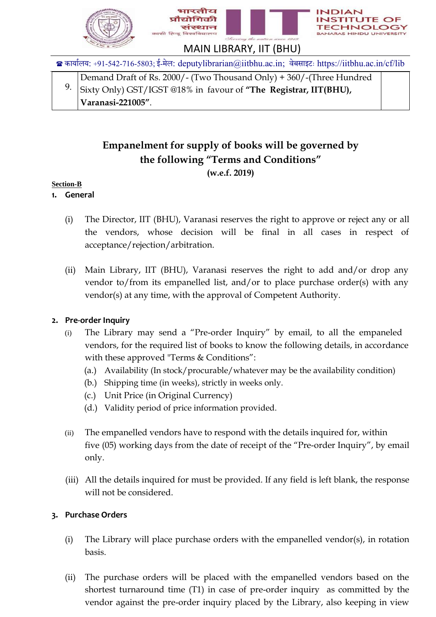

| Demand Draft of Rs. 2000/- (Two Thousand Only) + 360/- (Three Hundred          |  |  |
|--------------------------------------------------------------------------------|--|--|
| <sup>9.</sup> Sixty Only) GST/IGST @18% in favour of "The Registrar, IIT(BHU), |  |  |
| Varanasi-221005".                                                              |  |  |

# **Empanelment for supply of books will be governed by the following "Terms and Conditions" (w.e.f. 2019)**

### **Section-B**

### **1. General**

- (i) The Director, IIT (BHU), Varanasi reserves the right to approve or reject any or all the vendors, whose decision will be final in all cases in respect of acceptance/rejection/arbitration.
- (ii) Main Library, IIT (BHU), Varanasi reserves the right to add and/or drop any vendor to/from its empanelled list, and/or to place purchase order(s) with any vendor(s) at any time, with the approval of Competent Authority.

# **2. Pre-order Inquiry**

- (i) The Library may send a "Pre-order Inquiry" by email, to all the empaneled vendors, for the required list of books to know the following details, in accordance with these approved "Terms & Conditions":
	- (a.) Availability (In stock/procurable/whatever may be the availability condition)
	- (b.) Shipping time (in weeks), strictly in weeks only.
	- (c.) Unit Price (in Original Currency)
	- (d.) Validity period of price information provided.
- (ii) The empanelled vendors have to respond with the details inquired for, within five (05) working days from the date of receipt of the "Pre-order Inquiry", by email only.
- (iii) All the details inquired for must be provided. If any field is left blank, the response will not be considered.

### **3. Purchase Orders**

- (i) The Library will place purchase orders with the empanelled vendor(s), in rotation basis.
- (ii) The purchase orders will be placed with the empanelled vendors based on the shortest turnaround time (T1) in case of pre-order inquiry as committed by the vendor against the pre-order inquiry placed by the Library, also keeping in view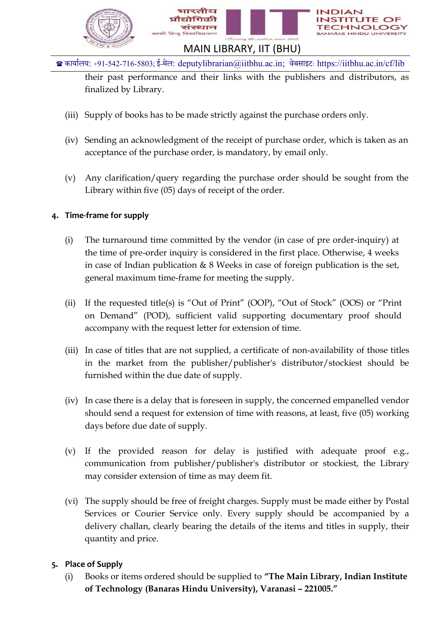

their past performance and their links with the publishers and distributors, as finalized by Library.

- (iii) Supply of books has to be made strictly against the purchase orders only.
- (iv) Sending an acknowledgment of the receipt of purchase order, which is taken as an acceptance of the purchase order, is mandatory, by email only.
- (v) Any clarification/query regarding the purchase order should be sought from the Library within five (05) days of receipt of the order.

# **4. Time-frame for supply**

- (i) The turnaround time committed by the vendor (in case of pre order-inquiry) at the time of pre-order inquiry is considered in the first place. Otherwise, 4 weeks in case of Indian publication & 8 Weeks in case of foreign publication is the set, general maximum time-frame for meeting the supply.
- (ii) If the requested title(s) is "Out of Print" (OOP), "Out of Stock" (OOS) or "Print on Demand" (POD), sufficient valid supporting documentary proof should accompany with the request letter for extension of time.
- (iii) In case of titles that are not supplied, a certificate of non-availability of those titles in the market from the publisher/publisher's distributor/stockiest should be furnished within the due date of supply.
- (iv) In case there is a delay that is foreseen in supply, the concerned empanelled vendor should send a request for extension of time with reasons, at least, five (05) working days before due date of supply.
- (v) If the provided reason for delay is justified with adequate proof e.g., communication from publisher/publisher's distributor or stockiest, the Library may consider extension of time as may deem fit.
- (vi) The supply should be free of freight charges. Supply must be made either by Postal Services or Courier Service only. Every supply should be accompanied by a delivery challan, clearly bearing the details of the items and titles in supply, their quantity and price.

# **5. Place of Supply**

(i) Books or items ordered should be supplied to **"The Main Library, Indian Institute of Technology (Banaras Hindu University), Varanasi – 221005."**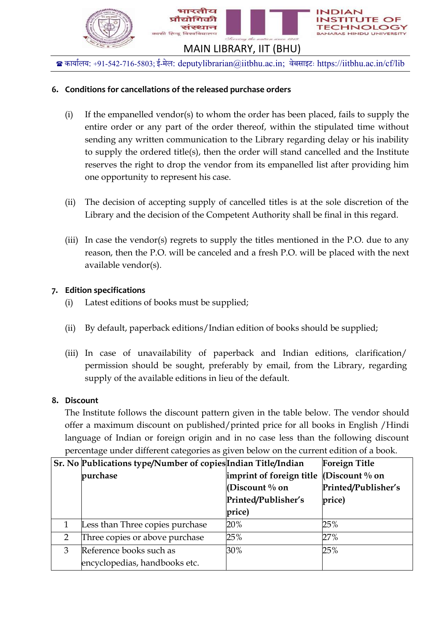

# **6. Conditions for cancellations of the released purchase orders**

- (i) If the empanelled vendor(s) to whom the order has been placed, fails to supply the entire order or any part of the order thereof, within the stipulated time without sending any written communication to the Library regarding delay or his inability to supply the ordered title(s), then the order will stand cancelled and the Institute reserves the right to drop the vendor from its empanelled list after providing him one opportunity to represent his case.
- (ii) The decision of accepting supply of cancelled titles is at the sole discretion of the Library and the decision of the Competent Authority shall be final in this regard.
- (iii) In case the vendor(s) regrets to supply the titles mentioned in the P.O. due to any reason, then the P.O. will be canceled and a fresh P.O. will be placed with the next available vendor(s).

# **7. Edition specifications**

- (i) Latest editions of books must be supplied;
- (ii) By default, paperback editions/Indian edition of books should be supplied;
- (iii) In case of unavailability of paperback and Indian editions, clarification/ permission should be sought, preferably by email, from the Library, regarding supply of the available editions in lieu of the default.

### **8. Discount**

The Institute follows the discount pattern given in the table below. The vendor should offer a maximum discount on published/printed price for all books in English /Hindi language of Indian or foreign origin and in no case less than the following discount percentage under different categories as given below on the current edition of a book.

|   | <b>Sr. No Publications type/Number of copies Indian Title/Indian</b> |                          | <b>Foreign Title</b> |
|---|----------------------------------------------------------------------|--------------------------|----------------------|
|   | purchase                                                             | imprint of foreign title | (Discount $\%$ on    |
|   |                                                                      | (Discount $\%$ on        | Printed/Publisher's  |
|   |                                                                      | Printed/Publisher's      | price)               |
|   |                                                                      | price)                   |                      |
|   | Less than Three copies purchase                                      | 20%                      | 25%                  |
| 2 | Three copies or above purchase                                       | 25%                      | 27%                  |
| 3 | Reference books such as                                              | 30%                      | 25%                  |
|   | encyclopedias, handbooks etc.                                        |                          |                      |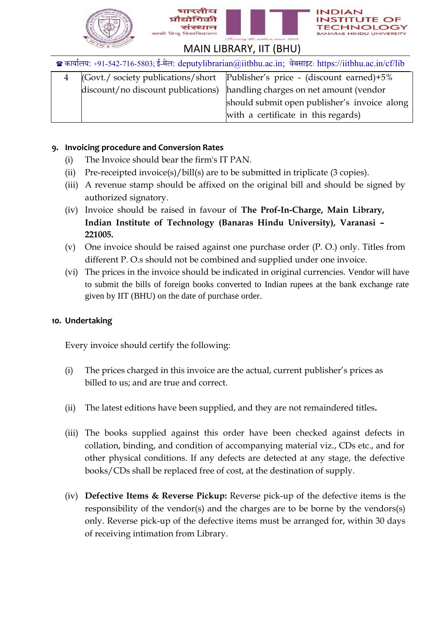





# MAIN LIBRARY, IIT (BHU)

कार्ाालर्: +91-542-716-5803;ई-मेल: [deputylibrarian@iitbhu.ac.in;](mailto:deputylibrarian@iitbhu.ac.in) वेबसाइटः https://iitbhu.ac.in/cf/lib

|  | (Govt./ society publications/short   Publisher's price - (discount earned)+5% |
|--|-------------------------------------------------------------------------------|
|  | discount/no discount publications) handling charges on net amount (vendor     |
|  | should submit open publisher's invoice along                                  |
|  | with a certificate in this regards)                                           |

### **9. Invoicing procedure and Conversion Rates**

- (i) The Invoice should bear the firm's IT PAN.
- (ii) Pre-receipted invoice(s)/bill(s) are to be submitted in triplicate (3 copies).
- (iii) A revenue stamp should be affixed on the original bill and should be signed by authorized signatory.
- (iv) Invoice should be raised in favour of **The Prof-In-Charge, Main Library, Indian Institute of Technology (Banaras Hindu University), Varanasi – 221005.**
- (v) One invoice should be raised against one purchase order (P. O.) only. Titles from different P. O.s should not be combined and supplied under one invoice.
- (vi) The prices in the invoice should be indicated in original currencies. Vendor will have to submit the bills of foreign books converted to Indian rupees at the bank exchange rate given by IIT (BHU) on the date of purchase order.

### **10. Undertaking**

Every invoice should certify the following:

- (i) The prices charged in this invoice are the actual, current publisher's prices as billed to us; and are true and correct.
- (ii) The latest editions have been supplied, and they are not remaindered titles**.**
- (iii) The books supplied against this order have been checked against defects in collation, binding, and condition of accompanying material viz., CDs etc., and for other physical conditions. If any defects are detected at any stage, the defective books/CDs shall be replaced free of cost, at the destination of supply.
- (iv) **Defective Items & Reverse Pickup:** Reverse pick-up of the defective items is the responsibility of the vendor(s) and the charges are to be borne by the vendors(s) only. Reverse pick-up of the defective items must be arranged for, within 30 days of receiving intimation from Library.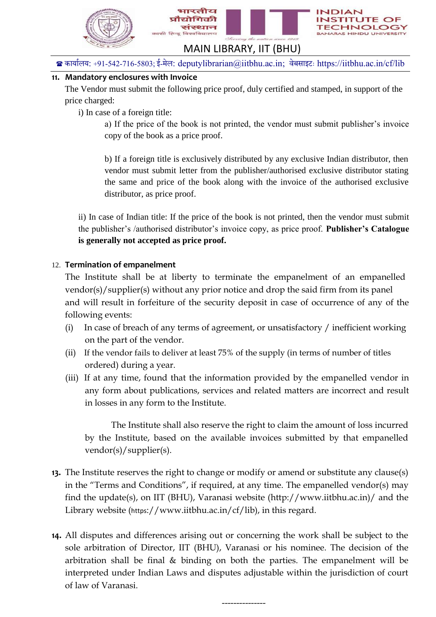

# **11. Mandatory enclosures with Invoice**

The Vendor must submit the following price proof, duly certified and stamped, in support of the price charged:

i) In case of a foreign title:

a) If the price of the book is not printed, the vendor must submit publisher's invoice copy of the book as a price proof.

b) If a foreign title is exclusively distributed by any exclusive Indian distributor, then vendor must submit letter from the publisher/authorised exclusive distributor stating the same and price of the book along with the invoice of the authorised exclusive distributor, as price proof.

ii) In case of Indian title: If the price of the book is not printed, then the vendor must submit the publisher's /authorised distributor's invoice copy, as price proof. **Publisher's Catalogue is generally not accepted as price proof.**

### 12. **Termination of empanelment**

The Institute shall be at liberty to terminate the empanelment of an empanelled vendor(s)/supplier(s) without any prior notice and drop the said firm from its panel and will result in forfeiture of the security deposit in case of occurrence of any of the following events:

- (i) In case of breach of any terms of agreement, or unsatisfactory / inefficient working on the part of the vendor.
- (ii) If the vendor fails to deliver at least 75% of the supply (in terms of number of titles ordered) during a year.
- (iii) If at any time, found that the information provided by the empanelled vendor in any form about publications, services and related matters are incorrect and result in losses in any form to the Institute.

The Institute shall also reserve the right to claim the amount of loss incurred by the Institute, based on the available invoices submitted by that empanelled vendor(s)/supplier(s).

- **13.** The Institute reserves the right to change or modify or amend or substitute any clause(s) in the "Terms and Conditions", if required, at any time. The empanelled vendor(s) may find the update(s), on IIT (BHU), Varanasi website (http://www.iitbhu.ac.in)/ and the Library website (https://www.iitbhu.ac.in/cf/lib), in this regard.
- **14.** All disputes and differences arising out or concerning the work shall be subject to the sole arbitration of Director, IIT (BHU), Varanasi or his nominee. The decision of the arbitration shall be final & binding on both the parties. The empanelment will be interpreted under Indian Laws and disputes adjustable within the jurisdiction of court of law of Varanasi.

---------------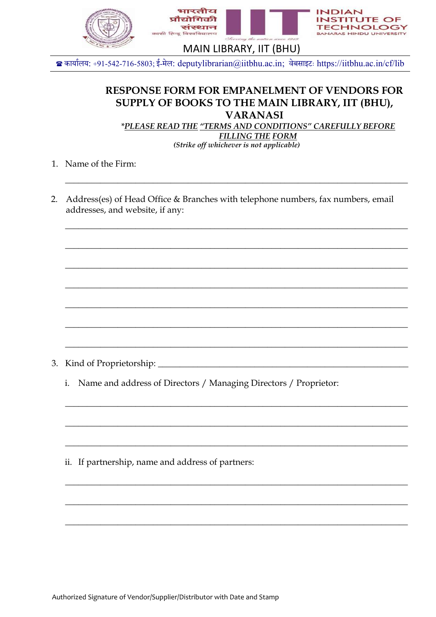

# **RESPONSE FORM FOR EMPANELMENT OF VENDORS FOR SUPPLY OF BOOKS TO THE MAIN LIBRARY, IIT (BHU), VARANASI**

*\*PLEASE READ THE "TERMS AND CONDITIONS" CAREFULLY BEFORE FILLING THE FORM*

*(Strike off whichever is not applicable)*

\_\_\_\_\_\_\_\_\_\_\_\_\_\_\_\_\_\_\_\_\_\_\_\_\_\_\_\_\_\_\_\_\_\_\_\_\_\_\_\_\_\_\_\_\_\_\_\_\_\_\_\_\_\_\_\_\_\_\_\_\_\_\_\_\_\_\_\_\_\_\_\_\_\_\_\_\_\_

\_\_\_\_\_\_\_\_\_\_\_\_\_\_\_\_\_\_\_\_\_\_\_\_\_\_\_\_\_\_\_\_\_\_\_\_\_\_\_\_\_\_\_\_\_\_\_\_\_\_\_\_\_\_\_\_\_\_\_\_\_\_\_\_\_\_\_\_\_\_\_\_\_\_\_\_\_\_

\_\_\_\_\_\_\_\_\_\_\_\_\_\_\_\_\_\_\_\_\_\_\_\_\_\_\_\_\_\_\_\_\_\_\_\_\_\_\_\_\_\_\_\_\_\_\_\_\_\_\_\_\_\_\_\_\_\_\_\_\_\_\_\_\_\_\_\_\_\_\_\_\_\_\_\_\_\_

\_\_\_\_\_\_\_\_\_\_\_\_\_\_\_\_\_\_\_\_\_\_\_\_\_\_\_\_\_\_\_\_\_\_\_\_\_\_\_\_\_\_\_\_\_\_\_\_\_\_\_\_\_\_\_\_\_\_\_\_\_\_\_\_\_\_\_\_\_\_\_\_\_\_\_\_\_\_

\_\_\_\_\_\_\_\_\_\_\_\_\_\_\_\_\_\_\_\_\_\_\_\_\_\_\_\_\_\_\_\_\_\_\_\_\_\_\_\_\_\_\_\_\_\_\_\_\_\_\_\_\_\_\_\_\_\_\_\_\_\_\_\_\_\_\_\_\_\_\_\_\_\_\_\_\_\_

\_\_\_\_\_\_\_\_\_\_\_\_\_\_\_\_\_\_\_\_\_\_\_\_\_\_\_\_\_\_\_\_\_\_\_\_\_\_\_\_\_\_\_\_\_\_\_\_\_\_\_\_\_\_\_\_\_\_\_\_\_\_\_\_\_\_\_\_\_\_\_\_\_\_\_\_\_\_

\_\_\_\_\_\_\_\_\_\_\_\_\_\_\_\_\_\_\_\_\_\_\_\_\_\_\_\_\_\_\_\_\_\_\_\_\_\_\_\_\_\_\_\_\_\_\_\_\_\_\_\_\_\_\_\_\_\_\_\_\_\_\_\_\_\_\_\_\_\_\_\_\_\_\_\_\_\_

\_\_\_\_\_\_\_\_\_\_\_\_\_\_\_\_\_\_\_\_\_\_\_\_\_\_\_\_\_\_\_\_\_\_\_\_\_\_\_\_\_\_\_\_\_\_\_\_\_\_\_\_\_\_\_\_\_\_\_\_\_\_\_\_\_\_\_\_\_\_\_\_\_\_\_\_\_\_

\_\_\_\_\_\_\_\_\_\_\_\_\_\_\_\_\_\_\_\_\_\_\_\_\_\_\_\_\_\_\_\_\_\_\_\_\_\_\_\_\_\_\_\_\_\_\_\_\_\_\_\_\_\_\_\_\_\_\_\_\_\_\_\_\_\_\_\_\_\_\_\_\_\_\_\_\_\_

\_\_\_\_\_\_\_\_\_\_\_\_\_\_\_\_\_\_\_\_\_\_\_\_\_\_\_\_\_\_\_\_\_\_\_\_\_\_\_\_\_\_\_\_\_\_\_\_\_\_\_\_\_\_\_\_\_\_\_\_\_\_\_\_\_\_\_\_\_\_\_\_\_\_\_\_\_\_

\_\_\_\_\_\_\_\_\_\_\_\_\_\_\_\_\_\_\_\_\_\_\_\_\_\_\_\_\_\_\_\_\_\_\_\_\_\_\_\_\_\_\_\_\_\_\_\_\_\_\_\_\_\_\_\_\_\_\_\_\_\_\_\_\_\_\_\_\_\_\_\_\_\_\_\_\_\_

\_\_\_\_\_\_\_\_\_\_\_\_\_\_\_\_\_\_\_\_\_\_\_\_\_\_\_\_\_\_\_\_\_\_\_\_\_\_\_\_\_\_\_\_\_\_\_\_\_\_\_\_\_\_\_\_\_\_\_\_\_\_\_\_\_\_\_\_\_\_\_\_\_\_\_\_\_\_

\_\_\_\_\_\_\_\_\_\_\_\_\_\_\_\_\_\_\_\_\_\_\_\_\_\_\_\_\_\_\_\_\_\_\_\_\_\_\_\_\_\_\_\_\_\_\_\_\_\_\_\_\_\_\_\_\_\_\_\_\_\_\_\_\_\_\_\_\_\_\_\_\_\_\_\_\_\_

\_\_\_\_\_\_\_\_\_\_\_\_\_\_\_\_\_\_\_\_\_\_\_\_\_\_\_\_\_\_\_\_\_\_\_\_\_\_\_\_\_\_\_\_\_\_\_\_\_\_\_\_\_\_\_\_\_\_\_\_\_\_\_\_\_\_\_\_\_\_\_\_\_\_\_\_\_\_

- 1. Name of the Firm:
- 2. Address(es) of Head Office & Branches with telephone numbers, fax numbers, email addresses, and website, if any:

3. Kind of Proprietorship: \_\_\_\_\_\_\_\_\_\_\_\_\_\_\_\_\_\_\_\_\_\_\_\_\_\_\_\_\_\_\_\_\_\_\_\_\_\_\_\_\_\_\_\_\_\_\_\_\_\_\_\_\_\_\_\_\_

i. Name and address of Directors / Managing Directors / Proprietor:

ii. If partnership, name and address of partners: